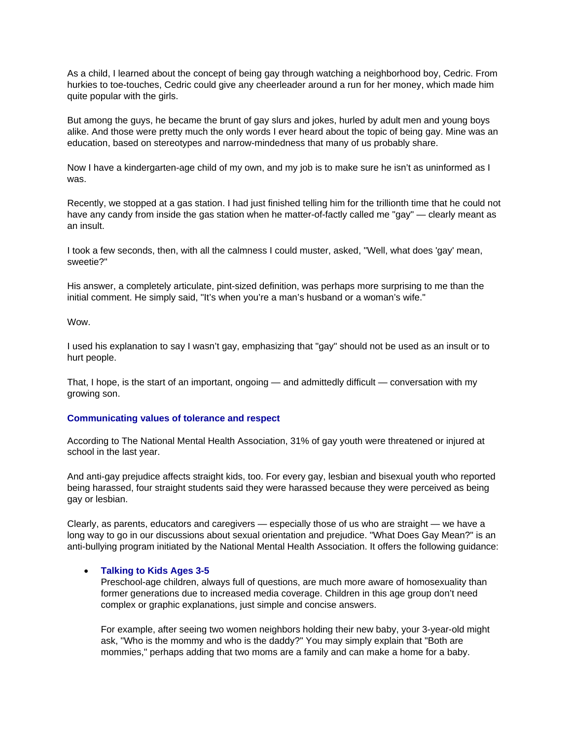As a child, I learned about the concept of being gay through watching a neighborhood boy, Cedric. From hurkies to toe-touches, Cedric could give any cheerleader around a run for her money, which made him quite popular with the girls.

But among the guys, he became the brunt of gay slurs and jokes, hurled by adult men and young boys alike. And those were pretty much the only words I ever heard about the topic of being gay. Mine was an education, based on stereotypes and narrow-mindedness that many of us probably share.

Now I have a kindergarten-age child of my own, and my job is to make sure he isn't as uninformed as I was.

Recently, we stopped at a gas station. I had just finished telling him for the trillionth time that he could not have any candy from inside the gas station when he matter-of-factly called me "gay" — clearly meant as an insult.

I took a few seconds, then, with all the calmness I could muster, asked, "Well, what does 'gay' mean, sweetie?"

His answer, a completely articulate, pint-sized definition, was perhaps more surprising to me than the initial comment. He simply said, "It's when you're a man's husband or a woman's wife."

Wow.

I used his explanation to say I wasn't gay, emphasizing that "gay" should not be used as an insult or to hurt people.

That, I hope, is the start of an important, ongoing — and admittedly difficult — conversation with my growing son.

## **Communicating values of tolerance and respect**

According to The National Mental Health Association, 31% of gay youth were threatened or injured at school in the last year.

And anti-gay prejudice affects straight kids, too. For every gay, lesbian and bisexual youth who reported being harassed, four straight students said they were harassed because they were perceived as being gay or lesbian.

Clearly, as parents, educators and caregivers — especially those of us who are straight — we have a long way to go in our discussions about sexual orientation and prejudice. "What Does Gay Mean?" is an anti-bullying program initiated by the National Mental Health Association. It offers the following guidance:

## **Talking to Kids Ages 3-5**

Preschool-age children, always full of questions, are much more aware of homosexuality than former generations due to increased media coverage. Children in this age group don't need complex or graphic explanations, just simple and concise answers.

For example, after seeing two women neighbors holding their new baby, your 3-year-old might ask, "Who is the mommy and who is the daddy?" You may simply explain that "Both are mommies," perhaps adding that two moms are a family and can make a home for a baby.